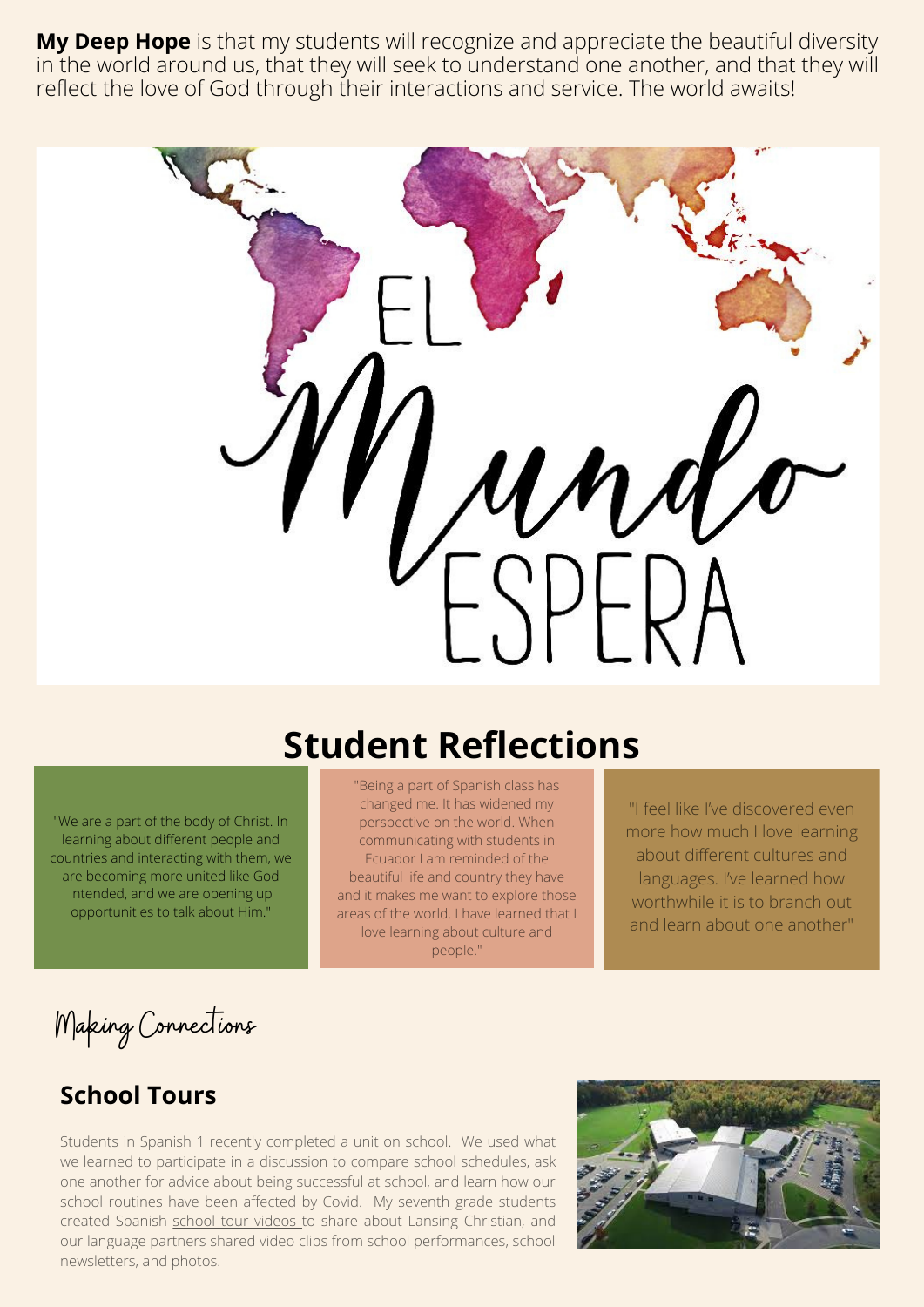**My Deep Hope** is that my students will recognize and appreciate the beautiful diversity in the world around us, that they will seek to understand one another, and that they will reflect the love of God through their interactions and service. The world awaits!



# **Student Reflections**

"We are a part of the body of Christ. In learning about different people and countries and interacting with them, we are becoming more united like God intended, and we are opening up opportunities to talk about Him."

"Being a part of Spanish class has changed me. It has widened my perspective on the world. When communicating with students in Ecuador I am reminded of the beautiful life and country they have and it makes me want to explore those areas of the world. I have learned that I love learning about culture and people."

"I feel like I've discovered even more how much I love learning about different cultures and languages. I've learned how worthwhile it is to branch out and learn about one another"

Making Connections

#### **School Tours**

Students in Spanish 1 recently completed a unit on school. We used what we learned to participate in a discussion to compare school schedules, ask one another for advice about being successful at school, and learn how our school routines have been affected by Covid. My seventh grade students created Spanish [school tour](https://flipgrid.com/s/qKiDy3XL3XcB) videos to share about Lansing Christian, and our language partners shared video clips from school performances, school newsletters, and photos.